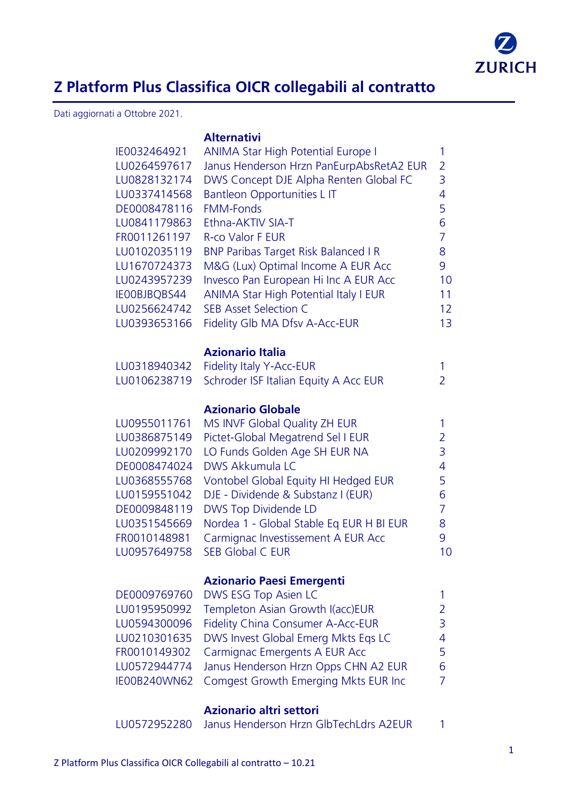

## **Z Platform Plus Classifica OICR collegabili al contratto**

Dati aggiornati a Ottobre 2021.

**Alternativi**

| IE0032464921<br>LU0264597617<br>LU0828132174<br>LU0337414568<br>DE0008478116<br>LU0841179863<br>FR0011261197<br>LU0102035119<br>LU1670724373<br>LU0243957239<br>IE00BJBQBS44<br>LU0256624742<br>LU0393653166 | <b>ANIMA Star High Potential Europe I</b><br>Janus Henderson Hrzn PanEurpAbsRetA2 EUR<br>DWS Concept DJE Alpha Renten Global FC<br>Bantleon Opportunities L IT<br><b>FMM-Fonds</b><br>Ethna-AKTIV SIA-T<br><b>R-co Valor F EUR</b><br><b>BNP Paribas Target Risk Balanced I R</b><br>M&G (Lux) Optimal Income A EUR Acc<br>Invesco Pan European Hi Inc A EUR Acc<br><b>ANIMA Star High Potential Italy I EUR</b><br><b>SEB Asset Selection C</b><br>Fidelity Glb MA Dfsv A-Acc-EUR | 1<br>$\overline{2}$<br>3<br>4<br>5<br>6<br>$\overline{7}$<br>8<br>9<br>10<br>11<br>12<br>1 <sub>3</sub> |
|--------------------------------------------------------------------------------------------------------------------------------------------------------------------------------------------------------------|------------------------------------------------------------------------------------------------------------------------------------------------------------------------------------------------------------------------------------------------------------------------------------------------------------------------------------------------------------------------------------------------------------------------------------------------------------------------------------|---------------------------------------------------------------------------------------------------------|
| LU0318940342<br>LU0106238719                                                                                                                                                                                 | <b>Azionario Italia</b><br><b>Fidelity Italy Y-Acc-EUR</b><br>Schroder ISF Italian Equity A Acc EUR                                                                                                                                                                                                                                                                                                                                                                                | 1<br>$\overline{2}$                                                                                     |
| LU0955011761<br>LU0386875149<br>LU0209992170<br>DE0008474024<br>LU0368555768<br>LU0159551042<br>DE0009848119<br>LU0351545669<br>FR0010148981<br>LU0957649758                                                 | <b>Azionario Globale</b><br>MS INVF Global Quality ZH EUR<br>Pictet-Global Megatrend Sel I EUR<br>LO Funds Golden Age SH EUR NA<br><b>DWS Akkumula LC</b><br>Vontobel Global Equity HI Hedged EUR<br>DJE - Dividende & Substanz I (EUR)<br>DWS Top Dividende LD<br>Nordea 1 - Global Stable Eq EUR H BI EUR<br>Carmignac Investissement A EUR Acc<br><b>SEB Global C EUR</b>                                                                                                       | 1<br>2<br>3<br>4<br>5<br>6<br>$\overline{7}$<br>8<br>9<br>10                                            |
| DE0009769760<br>LU0195950992<br>LU0594300096<br>LU0210301635<br>FR0010149302<br>LU0572944774<br>IE00B240WN62                                                                                                 | <b>Azionario Paesi Emergenti</b><br>DWS ESG Top Asien LC<br>Templeton Asian Growth I(acc)EUR<br>Fidelity China Consumer A-Acc-EUR<br>DWS Invest Global Emerg Mkts Eqs LC<br>Carmignac Emergents A EUR Acc<br>Janus Henderson Hrzn Opps CHN A2 EUR<br>Comgest Growth Emerging Mkts EUR Inc                                                                                                                                                                                          | 1<br>2<br>3<br>4<br>5<br>6<br>7                                                                         |
|                                                                                                                                                                                                              | Azionario altri settori                                                                                                                                                                                                                                                                                                                                                                                                                                                            |                                                                                                         |

LU0572952280 Janus Henderson Hrzn GlbTechLdrs A2EUR 1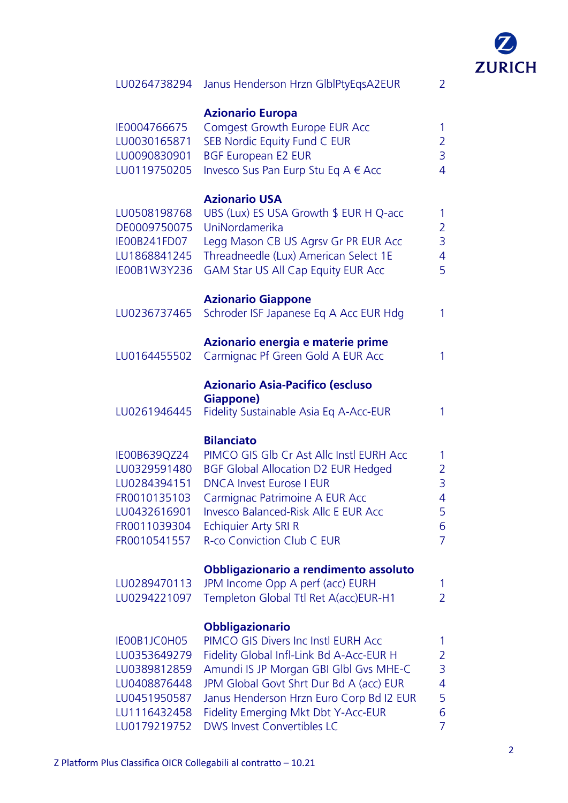

| LU0264738294                                                                                                 | Janus Henderson Hrzn GlblPtyEqsA2EUR                                                                                                                                                                                                                                                                                   | $\overline{2}$                                               |
|--------------------------------------------------------------------------------------------------------------|------------------------------------------------------------------------------------------------------------------------------------------------------------------------------------------------------------------------------------------------------------------------------------------------------------------------|--------------------------------------------------------------|
| IE0004766675<br>LU0030165871<br>LU0090830901<br>LU0119750205                                                 | <b>Azionario Europa</b><br>Comgest Growth Europe EUR Acc<br>SEB Nordic Equity Fund C EUR<br><b>BGF European E2 EUR</b><br>Invesco Sus Pan Eurp Stu Eq A € Acc                                                                                                                                                          | 1<br>$\overline{2}$<br>$\overline{3}$<br>$\overline{4}$      |
| LU0508198768<br>DE0009750075<br>IE00B241FD07<br>LU1868841245<br>IE00B1W3Y236                                 | <b>Azionario USA</b><br>UBS (Lux) ES USA Growth \$ EUR H Q-acc<br>UniNordamerika<br>Legg Mason CB US Agrsv Gr PR EUR Acc<br>Threadneedle (Lux) American Select 1E<br><b>GAM Star US All Cap Equity EUR Acc</b>                                                                                                         | 1<br>$\overline{2}$<br>$\overline{3}$<br>$\overline{4}$<br>5 |
| LU0236737465                                                                                                 | <b>Azionario Giappone</b><br>Schroder ISF Japanese Eq A Acc EUR Hdg                                                                                                                                                                                                                                                    | 1                                                            |
| LU0164455502                                                                                                 | Azionario energia e materie prime<br>Carmignac Pf Green Gold A EUR Acc                                                                                                                                                                                                                                                 | 1                                                            |
| LU0261946445                                                                                                 | <b>Azionario Asia-Pacifico (escluso</b><br>Giappone)<br>Fidelity Sustainable Asia Eq A-Acc-EUR                                                                                                                                                                                                                         | 1                                                            |
| IE00B639QZ24<br>LU0329591480<br>LU0284394151<br>FR0010135103<br>LU0432616901<br>FR0011039304<br>FR0010541557 | <b>Bilanciato</b><br>PIMCO GIS GIb Cr Ast Allc Instl EURH Acc<br><b>BGF Global Allocation D2 EUR Hedged</b><br><b>DNCA Invest Eurose I EUR</b><br>Carmignac Patrimoine A EUR Acc<br><b>Invesco Balanced-Risk Allc E EUR Acc</b><br><b>Echiquier Arty SRI R</b><br><b>R-co Conviction Club C EUR</b>                    | 1<br>$\overline{2}$<br>3<br>$\overline{4}$<br>5<br>6<br>7    |
| LU0289470113<br>LU0294221097                                                                                 | Obbligazionario a rendimento assoluto<br>JPM Income Opp A perf (acc) EURH<br>Templeton Global Ttl Ret A(acc)EUR-H1                                                                                                                                                                                                     | 1<br>$\overline{2}$                                          |
| IE00B1JC0H05<br>LU0353649279<br>LU0389812859<br>LU0408876448<br>LU0451950587<br>LU1116432458<br>LU0179219752 | <b>Obbligazionario</b><br>PIMCO GIS Divers Inc Instl EURH Acc<br>Fidelity Global Infl-Link Bd A-Acc-EUR H<br>Amundi IS JP Morgan GBI GIbI Gvs MHE-C<br>JPM Global Govt Shrt Dur Bd A (acc) EUR<br>Janus Henderson Hrzn Euro Corp Bd I2 EUR<br>Fidelity Emerging Mkt Dbt Y-Acc-EUR<br><b>DWS Invest Convertibles LC</b> | 1<br>$\overline{2}$<br>3<br>$\overline{4}$<br>5<br>6<br>7    |